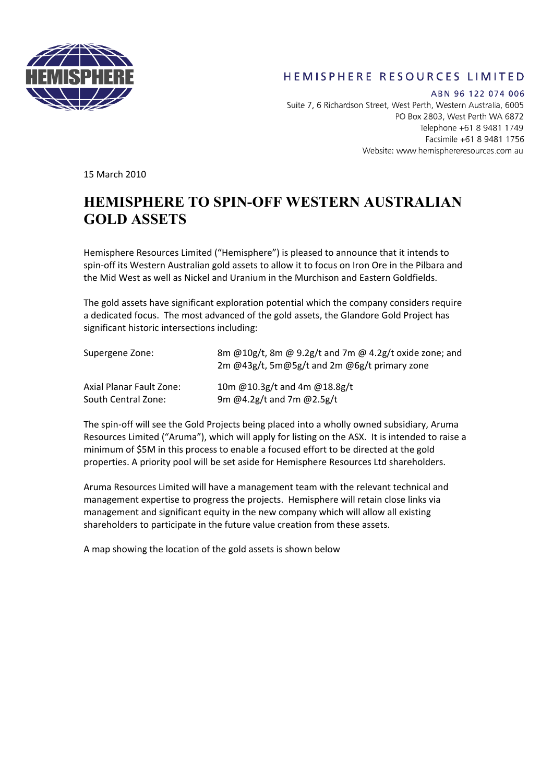

## HEMISPHERE RESOURCES LIMITED

ABN 96 122 074 006 Suite 7, 6 Richardson Street, West Perth, Western Australia, 6005 PO Box 2803, West Perth WA 6872 Telephone +61 8 9481 1749 Facsimile +61 8 9481 1756 Website: www.hemisphereresources.com.au

15 March 2010

## **HEMISPHERE TO SPIN-OFF WESTERN AUSTRALIAN GOLD ASSETS**

Hemisphere Resources Limited ("Hemisphere") is pleased to announce that it intends to spin-off its Western Australian gold assets to allow it to focus on Iron Ore in the Pilbara and the Mid West as well as Nickel and Uranium in the Murchison and Eastern Goldfields.

The gold assets have significant exploration potential which the company considers require a dedicated focus. The most advanced of the gold assets, the Glandore Gold Project has significant historic intersections including:

| Supergene Zone:          | 8m @10g/t, 8m @ 9.2g/t and 7m @ 4.2g/t oxide zone; and<br>2m @43g/t, 5m@5g/t and 2m @6g/t primary zone |
|--------------------------|--------------------------------------------------------------------------------------------------------|
| Axial Planar Fault Zone: | 10m @10.3g/t and 4m @18.8g/t                                                                           |
| South Central Zone:      | 9m @4.2g/t and 7m @2.5g/t                                                                              |

The spin‐off will see the Gold Projects being placed into a wholly owned subsidiary, Aruma Resources Limited ("Aruma"), which will apply for listing on the ASX. It is intended to raise a minimum of \$5M in this process to enable a focused effort to be directed at the gold properties. A priority pool will be set aside for Hemisphere Resources Ltd shareholders.

Aruma Resources Limited will have a management team with the relevant technical and management expertise to progress the projects. Hemisphere will retain close links via management and significant equity in the new company which will allow all existing shareholders to participate in the future value creation from these assets.

A map showing the location of the gold assets is shown below